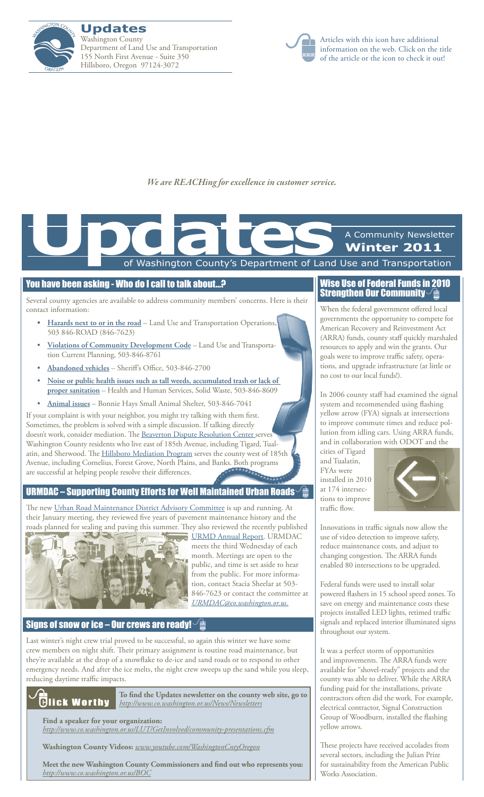



Articles with this icon have additional information on the web. Click on the title of the article or the icon to check it out!

*We are REACHing for excellence in customer service.*

# of Washington County's Department of Land Use and Transportation A Community Newsletter **Winter 2011 Updates**<br>The Contract of Washington County's Department of Land

#### You have been asking - Who do I call to talk about…?

Several county agencies are available to address community members' concerns. Here is their contact information:

- **[Hazards](http://www.co.washington.or.us/LUT/Divisions/Operations/request-service.cfm) next to or in the road** Land Use and Transportation Operations, 503 846-ROAD (846-7623)
- • **Violations of Community [Development](http://www.co.washington.or.us/LUT/Divisions/CurrentPlanning/CodeCompliance/index.cfm) Code** Land Use and Transportation Current Planning, 503-846-8761
- • **[Abandoned](http://www.co.washington.or.us/Sheriff/OtherServices/AbandonedVehicles/index.cfm) vehicles** Sheriff's Office, 503-846-2700
- • **Noise or public health issues such as tall weeds, [accumulated](http://www.co.washington.or.us/HHS/SWR/Regulatory/feedback-form.cfm) trash or lack of proper [sanitation](http://www.co.washington.or.us/HHS/SWR/Regulatory/feedback-form.cfm)** – Health and Human Services, Solid Waste, 503-846-8609
- • **[Animal](http://www.co.washington.or.us/HHS/AnimalServices/AnimalControl/Complaints/index.cfm) issues** Bonnie Hays Small Animal Shelter, 503-846-7041

If your complaint is with your neighbor, you might try talking with them first. Sometimes, the problem is solved with a simple discussion. If talking directly doesn't work, consider mediation. The [Beaverton Dispute Resolution Center](http://www.beavertonoregon.gov/departments/disputeresolution/) serves Washington County residents who live east of 185th Avenue, including Tigard, Tualatin, and Sherwood. The **Hillsboro Mediation Program** serves the county west of 185th Avenue, including Cornelius, Forest Grove, North Plains, and Banks. Both programs are successful at helping people resolve their differences.

# [URMDAC – Supporting County Efforts for Well Maintained Urban Roads](http://www.co.washington.or.us/LUT/Divisions/Operations/urmdac.cfm)

The new *[Urban Road Maintenance District Advisory Committee](http://www.co.washington.or.us/LUT/Divisions/Operations/urmdac.cfm)* is up and running. At their January meeting, they reviewed five years of pavement maintenance history and the roads planned for sealing and paving this summer. They also reviewed the recently published



[URMD Annual Report](http://www.co.washington.or.us/LUT/Divisions/Operations/Programs/urban-road-maintenance-district.cfm). URMDAC meets the third Wednesday of each month. Meetings are open to the public, and time is set aside to hear from the public. For more information, contact Stacia Sheelar at 503- 846-7623 or contact the committee at *[URMDAC@co.washington.or.us](mailto:URMDAC@co.washington.or.us).*

### [Signs of snow or ice – Our crews are ready!](http://www.wc-roads.com/)  $\sqrt{\frac{2}{m}}$

Last winter's night crew trial proved to be successful, so again this winter we have some crew members on night shift. Their primary assignment is routine road maintenance, but they're available at the drop of a snowflake to de-ice and sand roads or to respond to other emergency needs. And after the ice melts, the night crew sweeps up the sand while you sleep, reducing daytime traffic impacts.



**To find the Updates newsletter on the county web site, go to**  *<http://www.co.washington.or.us/News/Newsletters>*

**Find a speaker for your organization:** 

*<http://www.co.washington.or.us/LUT/GetInvolved/community-presentations.cfm>*

**Washington County Videos:** *<www.youtube.com/WashingtonCntyOregon>*

**Meet the new Washington County Commissioners and find out who represents you:** *<http://www.co.washington.or.us/BOC>*

### [Wise Use of Federal Funds in 2010](http://www.co.washington.or.us/LUT/Divisions/CPM/federal-stimulus-money.cfm)  Strengthen Our Community

When the federal government offered local governments the opportunity to compete for American Recovery and Reinvestment Act (ARRA) funds, county staff quickly marshaled resources to apply and win the grants. Our goals were to improve traffic safety, operations, and upgrade infrastructure (at little or no cost to our local funds!).

In 2006 county staff had examined the signal system and recommended using flashing yellow arrow (FYA) signals at intersections to improve commute times and reduce pollution from idling cars. Using ARRA funds, and in collaboration with ODOT and the

cities of Tigard and Tualatin, FYAs were installed in 2010 at 174 intersections to improve traffic flow.



Innovations in traffic signals now allow the use of video detection to improve safety, reduce maintenance costs, and adjust to changing congestion. The ARRA funds enabled 80 intersections to be upgraded.

Federal funds were used to install solar powered flashers in 15 school speed zones. To save on energy and maintenance costs these projects installed LED lights, retimed traffic signals and replaced interior illuminated signs throughout our system.

It was a perfect storm of opportunities and improvements. The ARRA funds were available for "shovel-ready" projects and the county was able to deliver. While the ARRA funding paid for the installations, private contractors often did the work. For example, electrical contractor, Signal Construction Group of Woodburn, installed the flashing yellow arrows.

These projects have received accolades from several sectors, including the Julian Prize for sustainability from the American Public Works Association.